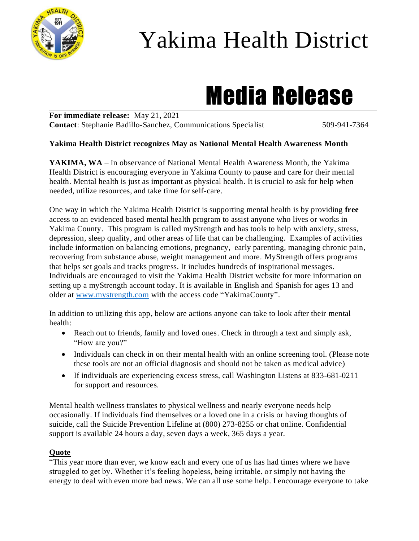

## Yakima Health District

# Media Release

**For immediate release:** May 21, 2021 **Contact:** Stephanie Badillo-Sanchez, Communications Specialist 509-941-7364

#### **Yakima Health District recognizes May as National Mental Health Awareness Month**

**YAKIMA, WA** – In observance of National Mental Health Awareness Month, the Yakima Health District is encouraging everyone in Yakima County to pause and care for their mental health. Mental health is just as important as physical health. It is crucial to ask for help when needed, utilize resources, and take time for self-care.

One way in which the Yakima Health District is supporting mental health is by providing **free** access to an evidenced based mental health program to assist anyone who lives or works in Yakima County. This program is called myStrength and has tools to help with anxiety, stress, depression, sleep quality, and other areas of life that can be challenging. Examples of activities include information on balancing emotions, pregnancy, early parenting, managing chronic pain, recovering from substance abuse, weight management and more. MyStrength offers programs that helps set goals and tracks progress. It includes hundreds of inspirational messages. Individuals are encouraged to visit the Yakima Health District website for more information on setting up a myStrength account today. It is available in English and Spanish for ages 13 and older at [www.mystrength.com](http://www.mystrength.com/) with the access code "YakimaCounty".

In addition to utilizing this app, below are actions anyone can take to look after their mental health:

- Reach out to friends, family and loved ones. Check in through a text and simply ask, "How are you?"
- Individuals can check in on their mental health with an online screening tool. (Please note these tools are not an official diagnosis and should not be taken as medical advice)
- If individuals are experiencing excess stress, call Washington Listens at 833-681-0211 for support and resources.

Mental health wellness translates to physical wellness and nearly everyone needs help occasionally. If individuals find themselves or a loved one in a crisis or having thoughts of suicide, call the Suicide Prevention Lifeline at (800) 273-8255 or chat online. Confidential support is available 24 hours a day, seven days a week, 365 days a year.

#### **Quote**

"This year more than ever, we know each and every one of us has had times where we have struggled to get by. Whether it's feeling hopeless, being irritable, or simply not having the energy to deal with even more bad news. We can all use some help. I encourage everyone to take